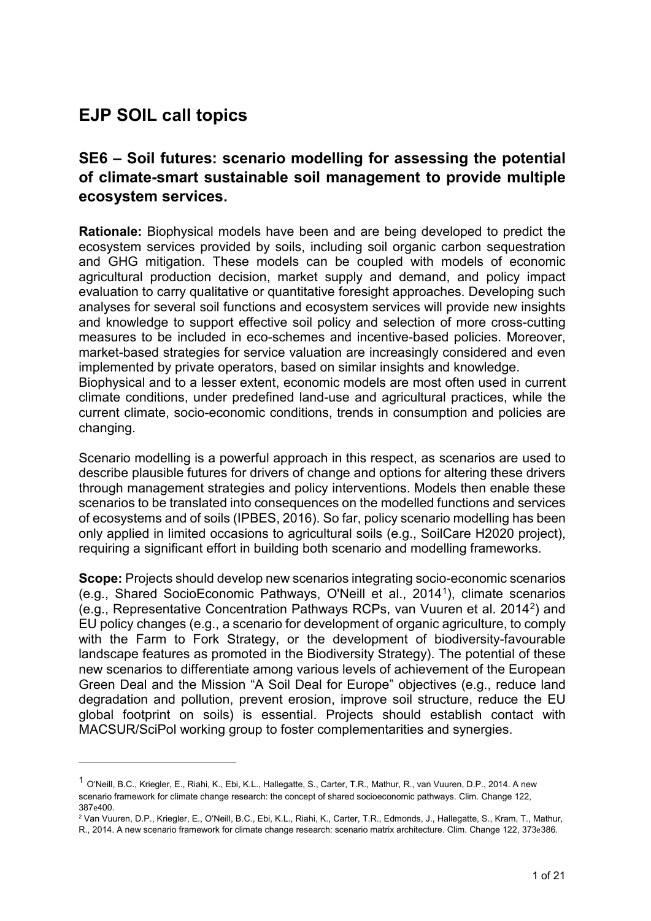# **EJP SOIL call topics**

-

## **SE6 – Soil futures: scenario modelling for assessing the potential of climate-smart sustainable soil management to provide multiple ecosystem services.**

**Rationale:** Biophysical models have been and are being developed to predict the ecosystem services provided by soils, including soil organic carbon sequestration and GHG mitigation. These models can be coupled with models of economic agricultural production decision, market supply and demand, and policy impact evaluation to carry qualitative or quantitative foresight approaches. Developing such analyses for several soil functions and ecosystem services will provide new insights and knowledge to support effective soil policy and selection of more cross-cutting measures to be included in eco-schemes and incentive-based policies. Moreover, market-based strategies for service valuation are increasingly considered and even implemented by private operators, based on similar insights and knowledge. Biophysical and to a lesser extent, economic models are most often used in current climate conditions, under predefined land-use and agricultural practices, while the

current climate, socio-economic conditions, trends in consumption and policies are changing.

Scenario modelling is a powerful approach in this respect, as scenarios are used to describe plausible futures for drivers of change and options for altering these drivers through management strategies and policy interventions. Models then enable these scenarios to be translated into consequences on the modelled functions and services of ecosystems and of soils (IPBES, 2016). So far, policy scenario modelling has been only applied in limited occasions to agricultural soils (e.g., SoilCare H2020 project), requiring a significant effort in building both scenario and modelling frameworks.

**Scope:** Projects should develop new scenarios integrating socio-economic scenarios (e.g., Shared SocioEconomic Pathways, O'Neill et al., 2014[1](#page-0-0)), climate scenarios (e.g., Representative Concentration Pathways RCPs, van Vuuren et al. 2014[2](#page-0-1)) and EU policy changes (e.g., a scenario for development of organic agriculture, to comply with the Farm to Fork Strategy, or the development of biodiversity-favourable landscape features as promoted in the Biodiversity Strategy). The potential of these new scenarios to differentiate among various levels of achievement of the European Green Deal and the Mission "A Soil Deal for Europe" objectives (e.g., reduce land degradation and pollution, prevent erosion, improve soil structure, reduce the EU global footprint on soils) is essential. Projects should establish contact with MACSUR/SciPol working group to foster complementarities and synergies.

<span id="page-0-0"></span><sup>1</sup> <sup>O</sup>'Neill, B.C., Kriegler, E., Riahi, K., Ebi, K.L., Hallegatte, S., Carter, T.R., Mathur, R., van Vuuren, D.P., 2014. A new scenario framework for climate change research: the concept of shared socioeconomic pathways. Clim. Change 122, 387e400.<br><sup>2</sup> Van Vuuren, D.P., Kriegler, E., O'Neill, B.C., Ebi, K.L., Riahi, K., Carter, T.R., Edmonds, J., Hallegatte, S., Kram, T., Mathur,

<span id="page-0-1"></span>R., 2014. A new scenario framework for climate change research: scenario matrix architecture. Clim. Change 122, 373e386.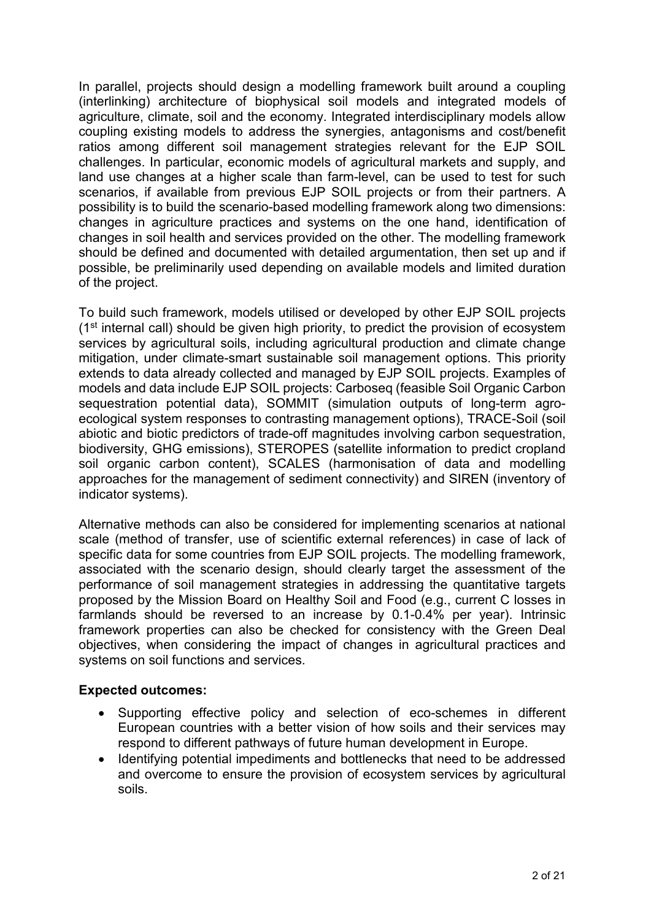In parallel, projects should design a modelling framework built around a coupling (interlinking) architecture of biophysical soil models and integrated models of agriculture, climate, soil and the economy. Integrated interdisciplinary models allow coupling existing models to address the synergies, antagonisms and cost/benefit ratios among different soil management strategies relevant for the EJP SOIL challenges. In particular, economic models of agricultural markets and supply, and land use changes at a higher scale than farm-level, can be used to test for such scenarios, if available from previous EJP SOIL projects or from their partners. A possibility is to build the scenario-based modelling framework along two dimensions: changes in agriculture practices and systems on the one hand, identification of changes in soil health and services provided on the other. The modelling framework should be defined and documented with detailed argumentation, then set up and if possible, be preliminarily used depending on available models and limited duration of the project.

To build such framework, models utilised or developed by other EJP SOIL projects  $(1<sup>st</sup>$  internal call) should be given high priority, to predict the provision of ecosystem services by agricultural soils, including agricultural production and climate change mitigation, under climate-smart sustainable soil management options. This priority extends to data already collected and managed by EJP SOIL projects. Examples of models and data include EJP SOIL projects: Carboseq (feasible Soil Organic Carbon sequestration potential data), SOMMIT (simulation outputs of long-term agroecological system responses to contrasting management options), TRACE-Soil (soil abiotic and biotic predictors of trade-off magnitudes involving carbon sequestration, biodiversity, GHG emissions), STEROPES (satellite information to predict cropland soil organic carbon content), SCALES (harmonisation of data and modelling approaches for the management of sediment connectivity) and SIREN (inventory of indicator systems).

Alternative methods can also be considered for implementing scenarios at national scale (method of transfer, use of scientific external references) in case of lack of specific data for some countries from EJP SOIL projects. The modelling framework, associated with the scenario design, should clearly target the assessment of the performance of soil management strategies in addressing the quantitative targets proposed by the Mission Board on Healthy Soil and Food (e.g., current C losses in farmlands should be reversed to an increase by 0.1-0.4% per year). Intrinsic framework properties can also be checked for consistency with the Green Deal objectives, when considering the impact of changes in agricultural practices and systems on soil functions and services.

#### **Expected outcomes:**

- Supporting effective policy and selection of eco-schemes in different European countries with a better vision of how soils and their services may respond to different pathways of future human development in Europe.
- Identifying potential impediments and bottlenecks that need to be addressed and overcome to ensure the provision of ecosystem services by agricultural soils.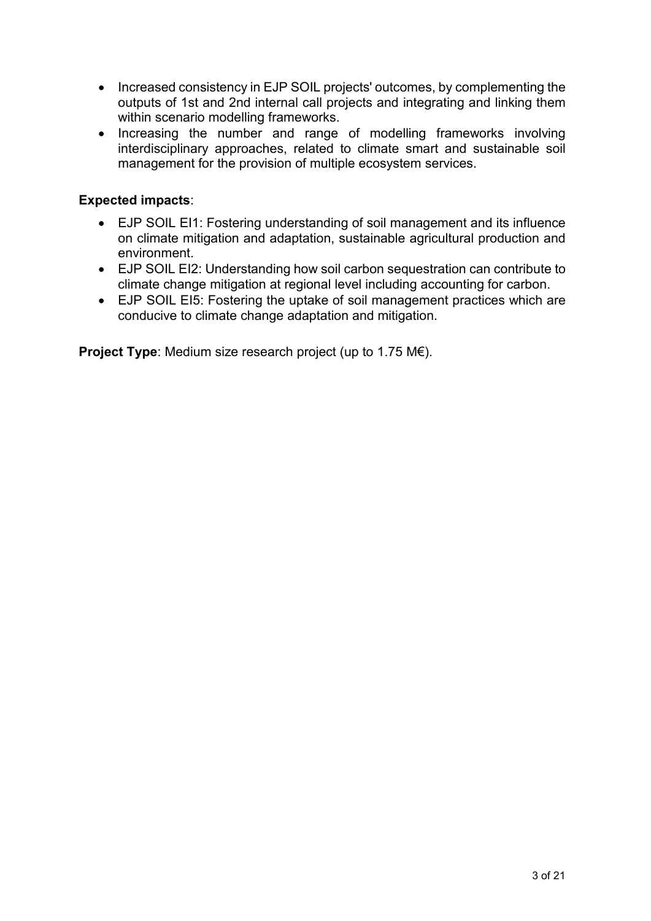- Increased consistency in EJP SOIL projects' outcomes, by complementing the outputs of 1st and 2nd internal call projects and integrating and linking them within scenario modelling frameworks.
- Increasing the number and range of modelling frameworks involving interdisciplinary approaches, related to climate smart and sustainable soil management for the provision of multiple ecosystem services.

#### **Expected impacts**:

- EJP SOIL EI1: Fostering understanding of soil management and its influence on climate mitigation and adaptation, sustainable agricultural production and environment.
- EJP SOIL EI2: Understanding how soil carbon sequestration can contribute to climate change mitigation at regional level including accounting for carbon.
- EJP SOIL EI5: Fostering the uptake of soil management practices which are conducive to climate change adaptation and mitigation.

**Project Type**: Medium size research project (up to 1.75 M€).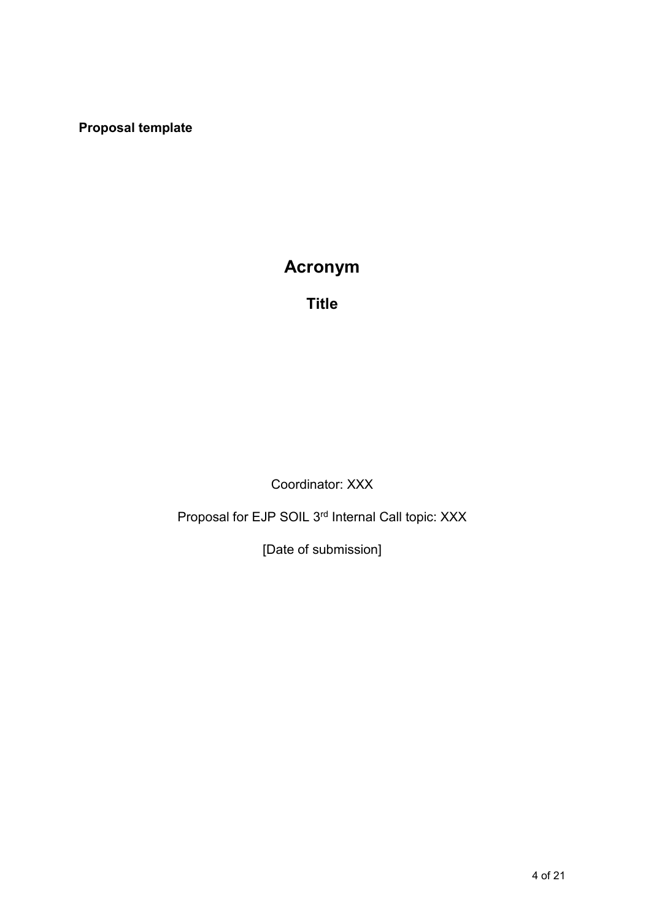**Proposal template**

# **Acronym**

**Title**

Coordinator: XXX

Proposal for EJP SOIL 3rd Internal Call topic: XXX

[Date of submission]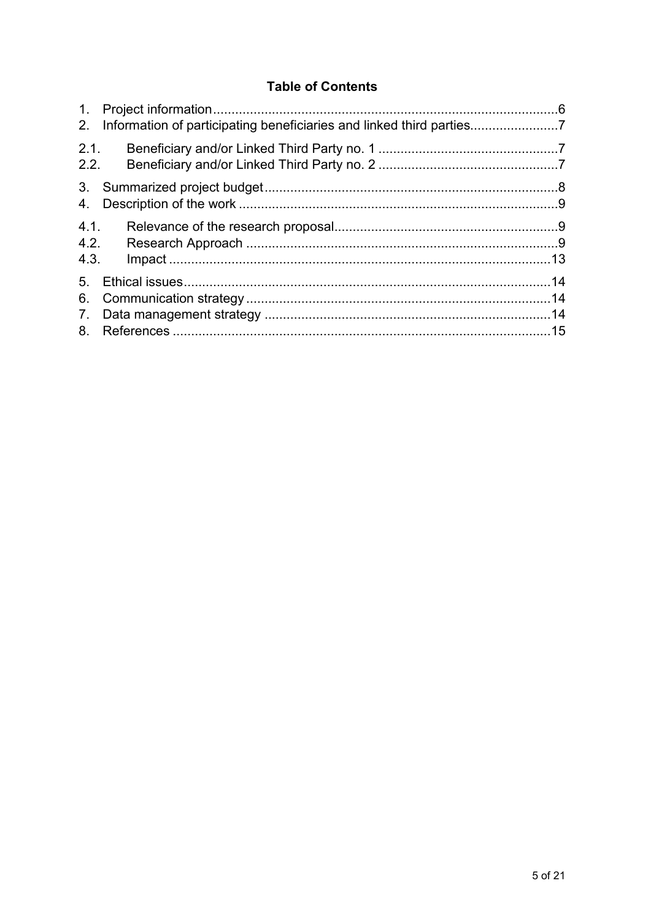## **Table of Contents**

| 2.                               |  |
|----------------------------------|--|
| 2.1.<br>2.2.                     |  |
| 4.                               |  |
| 4.1.<br>4.2.<br>4.3.             |  |
| 5 <sub>1</sub><br>6.<br>7.<br>8. |  |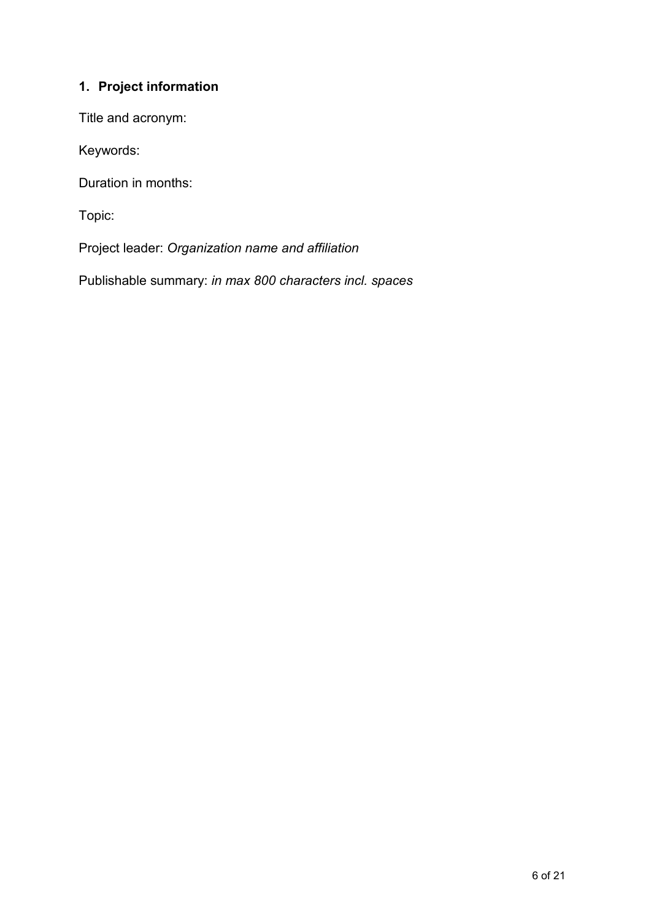## <span id="page-5-0"></span>**1. Project information**

Title and acronym:

Keywords:

Duration in months:

Topic:

Project leader: *Organization name and affiliation*

Publishable summary: *in max 800 characters incl. spaces*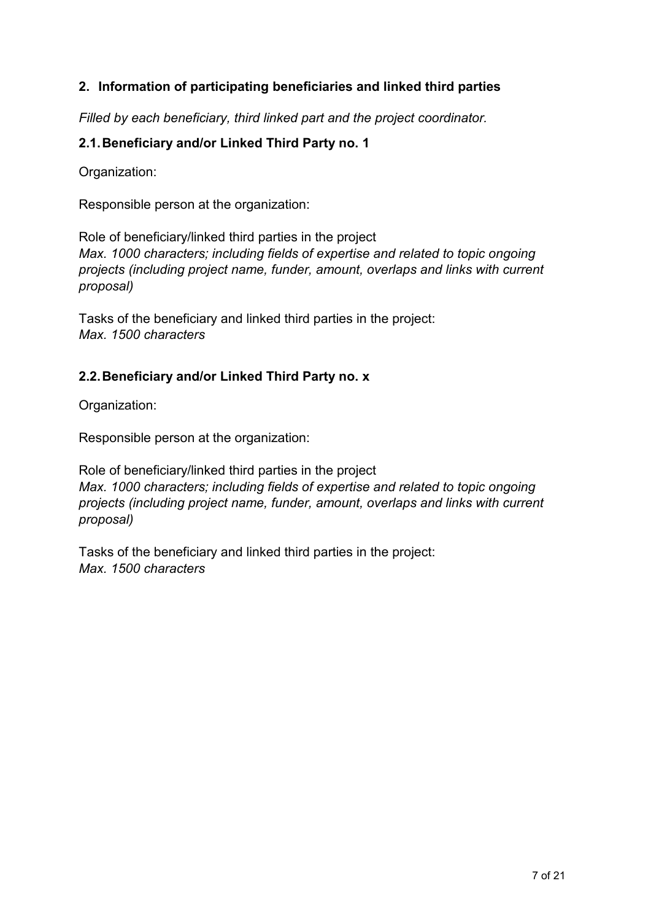## <span id="page-6-0"></span>**2. Information of participating beneficiaries and linked third parties**

*Filled by each beneficiary, third linked part and the project coordinator.*

## <span id="page-6-1"></span>**2.1.Beneficiary and/or Linked Third Party no. 1**

Organization:

Responsible person at the organization:

Role of beneficiary/linked third parties in the project *Max. 1000 characters; including fields of expertise and related to topic ongoing projects (including project name, funder, amount, overlaps and links with current proposal)*

Tasks of the beneficiary and linked third parties in the project: *Max. 1500 characters*

## <span id="page-6-2"></span>**2.2.Beneficiary and/or Linked Third Party no. x**

Organization:

Responsible person at the organization:

Role of beneficiary/linked third parties in the project *Max. 1000 characters; including fields of expertise and related to topic ongoing projects (including project name, funder, amount, overlaps and links with current proposal)*

Tasks of the beneficiary and linked third parties in the project: *Max. 1500 characters*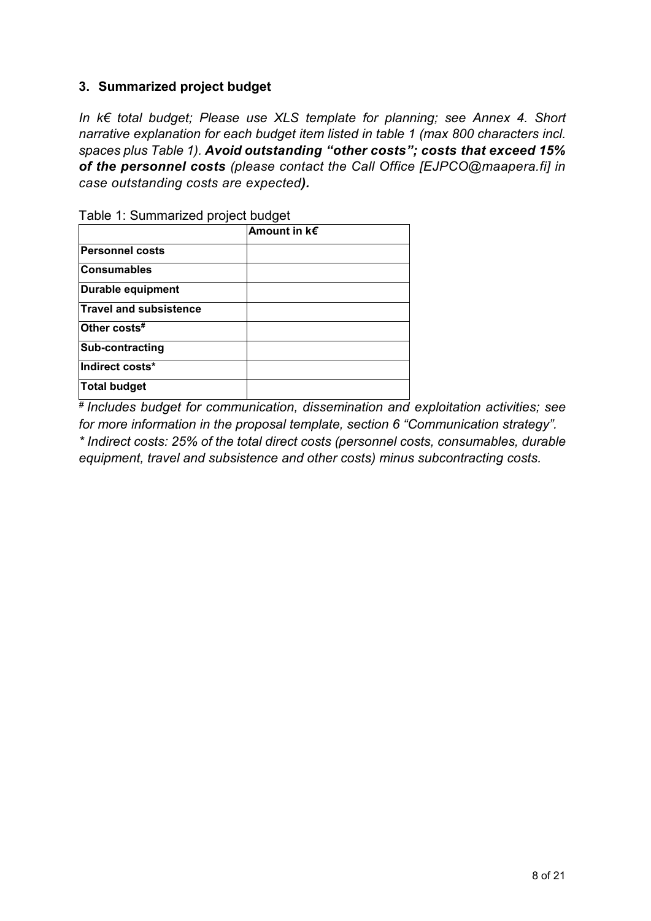## <span id="page-7-0"></span>**3. Summarized project budget**

*In k€ total budget; Please use XLS template for planning; see Annex 4. Short narrative explanation for each budget item listed in table 1 (max 800 characters incl. spaces plus Table 1). Avoid outstanding "other costs"; costs that exceed 15% of the personnel costs (please contact the Call Office [EJPCO@maapera.fi] in case outstanding costs are expected).* 

|                               | Amount in k€ |
|-------------------------------|--------------|
| <b>Personnel costs</b>        |              |
| <b>Consumables</b>            |              |
| Durable equipment             |              |
| <b>Travel and subsistence</b> |              |
| Other costs#                  |              |
| Sub-contracting               |              |
| Indirect costs*               |              |
| Total budget                  |              |

Table 1: Summarized project budget

*# Includes budget for communication, dissemination and exploitation activities; see for more information in the proposal template, section 6 "Communication strategy". \* Indirect costs: 25% of the total direct costs (personnel costs, consumables, durable equipment, travel and subsistence and other costs) minus subcontracting costs.*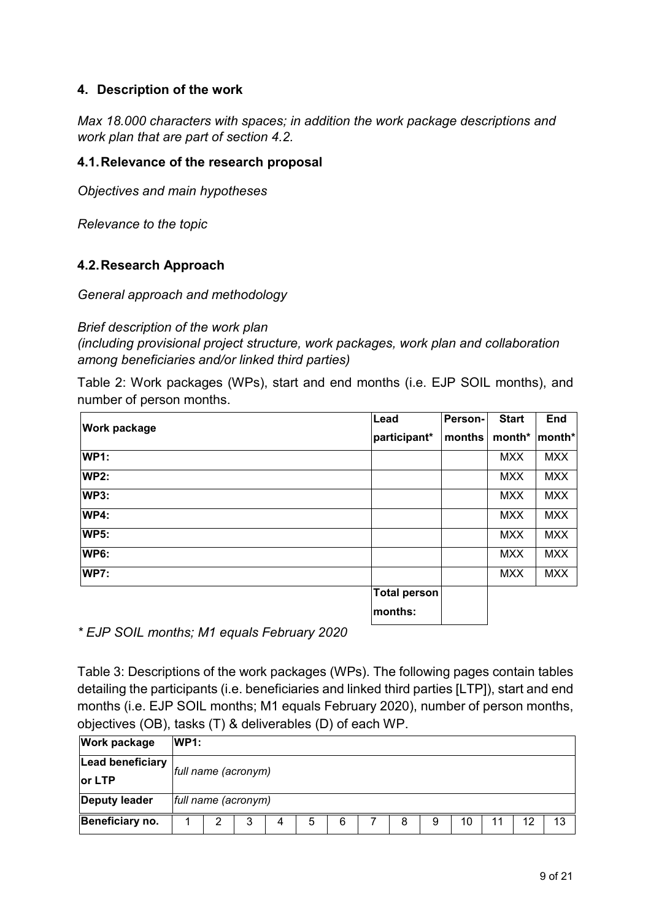## <span id="page-8-0"></span>**4. Description of the work**

*Max 18.000 characters with spaces; in addition the work package descriptions and work plan that are part of section 4.2.*

#### <span id="page-8-1"></span>**4.1.Relevance of the research proposal**

*Objectives and main hypotheses*

*Relevance to the topic*

#### <span id="page-8-2"></span>**4.2.Research Approach**

*General approach and methodology*

#### *Brief description of the work plan*

*(including provisional project structure, work packages, work plan and collaboration among beneficiaries and/or linked third parties)*

Table 2: Work packages (WPs), start and end months (i.e. EJP SOIL months), and number of person months.

|                     | Lead                | Person- | <b>Start</b> | <b>End</b> |
|---------------------|---------------------|---------|--------------|------------|
| <b>Work package</b> | participant*        | months  | month*       | month*     |
| <b>WP1:</b>         |                     |         | <b>MXX</b>   | <b>MXX</b> |
| <b>WP2:</b>         |                     |         | <b>MXX</b>   | <b>MXX</b> |
| <b>WP3:</b>         |                     |         | <b>MXX</b>   | <b>MXX</b> |
| <b>WP4:</b>         |                     |         | <b>MXX</b>   | <b>MXX</b> |
| <b>WP5:</b>         |                     |         | <b>MXX</b>   | <b>MXX</b> |
| <b>WP6:</b>         |                     |         | <b>MXX</b>   | <b>MXX</b> |
| <b>WP7:</b>         |                     |         | <b>MXX</b>   | <b>MXX</b> |
|                     | <b>Total person</b> |         |              |            |
|                     | months:             |         |              |            |

*\* EJP SOIL months; M1 equals February 2020*

Table 3: Descriptions of the work packages (WPs). The following pages contain tables detailing the participants (i.e. beneficiaries and linked third parties [LTP]), start and end months (i.e. EJP SOIL months; M1 equals February 2020), number of person months, objectives (OB), tasks (T) & deliverables (D) of each WP.

| <b>Work package</b>  | WP1: |                     |   |   |   |   |  |   |   |    |  |    |    |
|----------------------|------|---------------------|---|---|---|---|--|---|---|----|--|----|----|
| Lead beneficiary     |      | full name (acronym) |   |   |   |   |  |   |   |    |  |    |    |
| lor LTP              |      |                     |   |   |   |   |  |   |   |    |  |    |    |
| <b>Deputy leader</b> |      | full name (acronym) |   |   |   |   |  |   |   |    |  |    |    |
| Beneficiary no.      |      | ◠                   | 3 | 4 | 5 | 6 |  | 8 | 9 | 10 |  | 12 | 13 |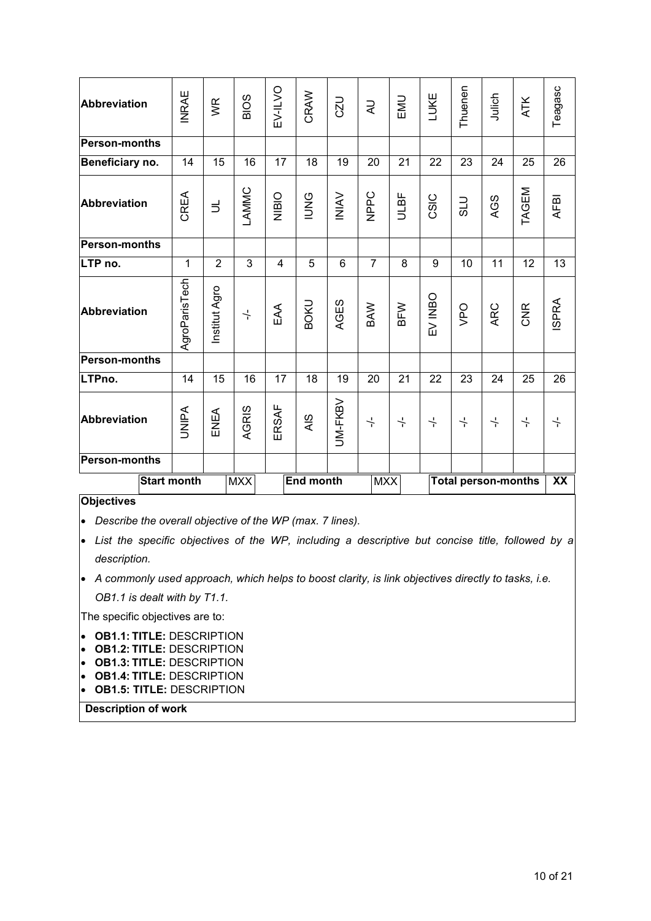| Abbreviation         | <b>INRAE</b>       | WR             | <b>BIOS</b>          | EV-ILVO | CRAW             | CZU            | R                  | EMU                  | LUKE                 | Thuenen          | Julich                     | <b>ATK</b>           | Teagasc      |
|----------------------|--------------------|----------------|----------------------|---------|------------------|----------------|--------------------|----------------------|----------------------|------------------|----------------------------|----------------------|--------------|
| <b>Person-months</b> |                    |                |                      |         |                  |                |                    |                      |                      |                  |                            |                      |              |
| Beneficiary no.      | 14                 | 15             | 16                   | 17      | 18               | 19             | 20                 | 21                   | 22                   | 23               | 24                         | 25                   | 26           |
| <b>Abbreviation</b>  | CREA               | $\exists$      | LAMMC                | NIBIO   | <b>PNNI</b>      | <b>NINI</b>    | NPPC               | <b>ULBF</b>          | CSIC                 | <b>DTS</b>       | AGS                        | TAGEM                | <b>AFBI</b>  |
| <b>Person-months</b> |                    |                |                      |         |                  |                |                    |                      |                      |                  |                            |                      |              |
| LTP no.              | $\mathbf{1}$       | $\overline{2}$ | 3                    | 4       | 5                | $6\phantom{1}$ | $\overline{7}$     | 8                    | 9                    | 10               | 11                         | 12                   | 13           |
| <b>Abbreviation</b>  | AgroParisTech      | Institut Agro  | $\frac{1}{\sqrt{2}}$ | EAA     | <b>BOKU</b>      | AGES           | BAW                | BFW                  | EV INBO              | <b>OdA</b>       | ARC                        | <b>CNR</b>           | <b>ISPRA</b> |
| <b>Person-months</b> |                    |                |                      |         |                  |                |                    |                      |                      |                  |                            |                      |              |
| LTPno.               | 14                 | 15             | 16                   | 17      | 18               | 19             | 20                 | 21                   | 22                   | 23               | 24                         | 25                   | 26           |
| <b>Abbreviation</b>  | <b>UNIPA</b>       | ENEA           | AGRIS                | ERSAF   | AIS              | UM-FKBV        | $\frac{1}{\Gamma}$ | $\frac{1}{\epsilon}$ | $\frac{1}{\sqrt{2}}$ | $\frac{1}{\tau}$ | $\frac{1}{\epsilon}$       | $\frac{1}{\epsilon}$ | $\div$       |
| <b>Person-months</b> |                    |                |                      |         |                  |                |                    |                      |                      |                  |                            |                      |              |
|                      | <b>Start month</b> |                | <b>MXX</b>           |         | <b>End month</b> |                | <b>MXX</b>         |                      |                      |                  | <b>Total person-months</b> |                      | XX           |

#### **Objectives**

• *Describe the overall objective of the WP (max. 7 lines).*

• *List the specific objectives of the WP, including a descriptive but concise title, followed by a description.*

• *A commonly used approach, which helps to boost clarity, is link objectives directly to tasks, i.e. OB1.1 is dealt with by T1.1.*

The specific objectives are to:

- **OB1.1: TITLE:** DESCRIPTION
- **OB1.2: TITLE:** DESCRIPTION
- **OB1.3: TITLE:** DESCRIPTION
- **OB1.4: TITLE:** DESCRIPTION
- **OB1.5: TITLE:** DESCRIPTION

**Description of work**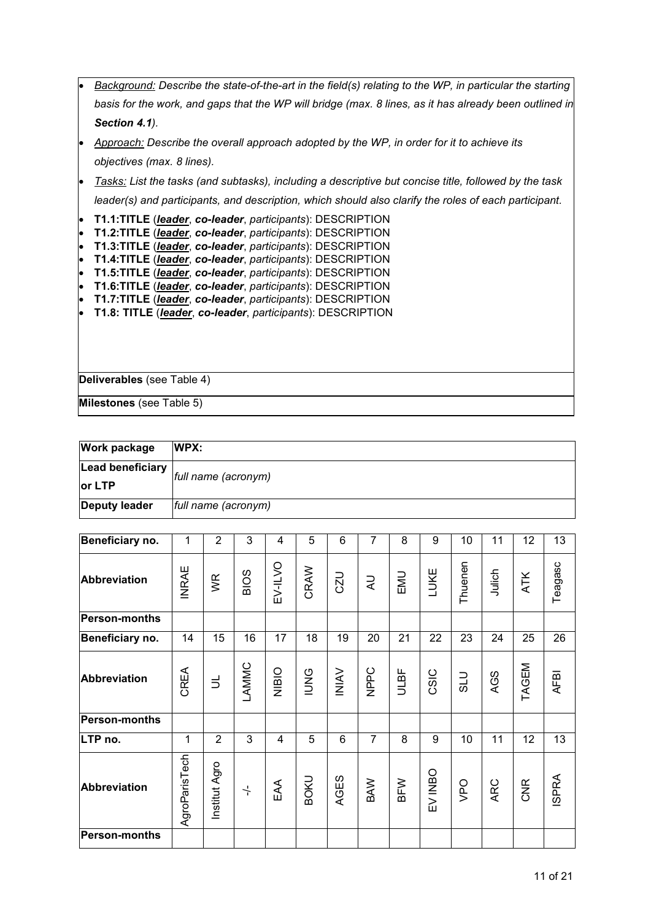|                                                                                         | Background: Describe the state-of-the-art in the field(s) relating to the WP, in particular the starting                                                                                                                                                                                                                                                                                                                                                                                              |
|-----------------------------------------------------------------------------------------|-------------------------------------------------------------------------------------------------------------------------------------------------------------------------------------------------------------------------------------------------------------------------------------------------------------------------------------------------------------------------------------------------------------------------------------------------------------------------------------------------------|
|                                                                                         | basis for the work, and gaps that the WP will bridge (max. 8 lines, as it has already been outlined in                                                                                                                                                                                                                                                                                                                                                                                                |
|                                                                                         | Section 4.1).                                                                                                                                                                                                                                                                                                                                                                                                                                                                                         |
|                                                                                         | Approach: Describe the overall approach adopted by the WP, in order for it to achieve its                                                                                                                                                                                                                                                                                                                                                                                                             |
|                                                                                         | objectives (max. 8 lines).                                                                                                                                                                                                                                                                                                                                                                                                                                                                            |
|                                                                                         | Tasks: List the tasks (and subtasks), including a descriptive but concise title, followed by the task                                                                                                                                                                                                                                                                                                                                                                                                 |
|                                                                                         | leader(s) and participants, and description, which should also clarify the roles of each participant.                                                                                                                                                                                                                                                                                                                                                                                                 |
| $\bullet$<br>$\bullet$<br>$\bullet$<br>$\bullet$<br>$\bullet$<br>$\bullet$<br>$\bullet$ | T1.1:TITLE (leader, co-leader, participants): DESCRIPTION<br>T1.2:TITLE (leader, co-leader, participants): DESCRIPTION<br>T1.3:TITLE (leader, co-leader, participants): DESCRIPTION<br>T1.4:TITLE (leader, co-leader, participants): DESCRIPTION<br>T1.5:TITLE (leader, co-leader, participants): DESCRIPTION<br>T1.6:TITLE (leader, co-leader, participants): DESCRIPTION<br>T1.7:TITLE (leader, co-leader, participants): DESCRIPTION<br>T1.8: TITLE (leader, co-leader, participants): DESCRIPTION |
|                                                                                         | Deliverables (see Table 4)                                                                                                                                                                                                                                                                                                                                                                                                                                                                            |
|                                                                                         | Milestones (see Table 5)                                                                                                                                                                                                                                                                                                                                                                                                                                                                              |

| <b>Work package</b> | WPX:                |
|---------------------|---------------------|
| Lead beneficiary    | full name (acronym) |
| or LTP              |                     |
| Deputy leader       | full name (acronym) |

| Beneficiary no.      | 1             | $\overline{2}$ | 3                    | 4       | 5           | $6\phantom{1}$ | $\overline{7}$ | 8    | 9       | 10      | 11     | 12         | 13           |
|----------------------|---------------|----------------|----------------------|---------|-------------|----------------|----------------|------|---------|---------|--------|------------|--------------|
| <b>Abbreviation</b>  | <b>INRAE</b>  | УŖ             | <b>BIOS</b>          | EV-ILVO | CRAW        | <b>CZU</b>     | $\overline{z}$ | EMU  | LUKE    | Thuenen | Julich | ATK        | Teagasc      |
| <b>Person-months</b> |               |                |                      |         |             |                |                |      |         |         |        |            |              |
| Beneficiary no.      | 14            | 15             | 16                   | 17      | 18          | 19             | 20             | 21   | 22      | 23      | 24     | 25         | 26           |
| Abbreviation         | CREA          | $\exists$      | LAMMC                | NIBIO   | <b>DNO</b>  | <b>NIAV</b>    | NPPC           | ULBF | CSIC    | OTS     | AGS    | TAGEM      | <b>AFBI</b>  |
| Person-months        |               |                |                      |         |             |                |                |      |         |         |        |            |              |
| LTP no.              | 1             | $\overline{2}$ | 3                    | 4       | 5           | 6              | $\overline{7}$ | 8    | 9       | 10      | 11     | 12         | 13           |
| <b>Abbreviation</b>  | AgroParisTech | Institut Agro  | $\frac{1}{\sqrt{2}}$ | EAA     | <b>BOKU</b> | AGES           | BAW            | BFW  | EV INBO | VPO     | ARC    | <b>CNR</b> | <b>ISPRA</b> |
| <b>Person-months</b> |               |                |                      |         |             |                |                |      |         |         |        |            |              |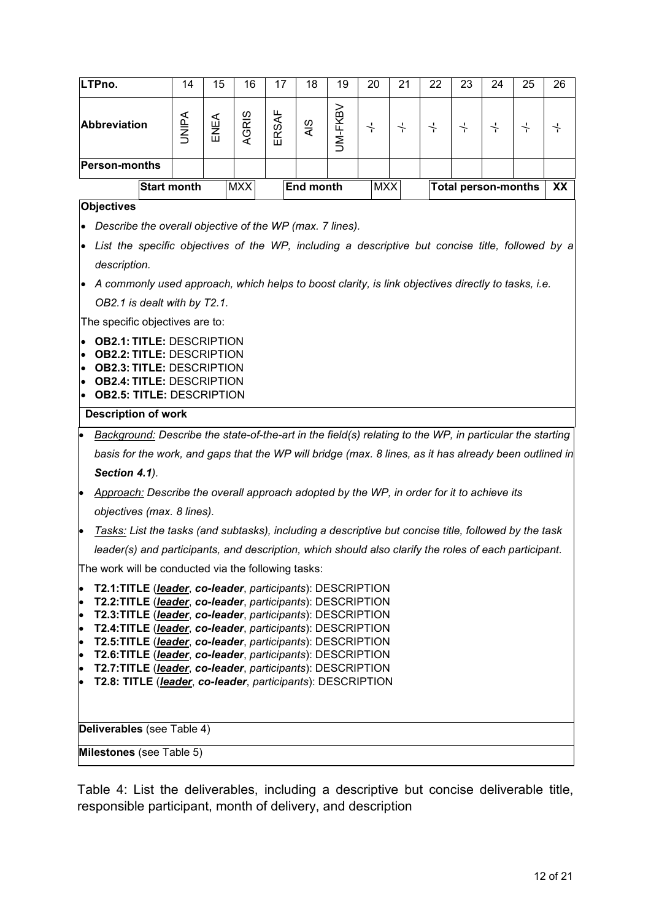| LTPno.                                                                                                                                           | 14                                                                                                                                                                                           | 15 | 16 | 17                         | 18 | 19 | 20 | 21 | 22 | 23 | 24 | 25               | 26 |  |  |  |  |
|--------------------------------------------------------------------------------------------------------------------------------------------------|----------------------------------------------------------------------------------------------------------------------------------------------------------------------------------------------|----|----|----------------------------|----|----|----|----|----|----|----|------------------|----|--|--|--|--|
| <b>Abbreviation</b>                                                                                                                              | <b>UM-FKBV</b><br>ERSAF<br>AGRIS<br><b>UNIPA</b><br>ENEA<br>AIS<br>$\frac{1}{1}$<br>$\frac{1}{\sqrt{2}}$<br>$\frac{1}{\sqrt{2}}$<br>$\frac{1}{\tau}$<br>$\frac{1}{\tau}$<br>$\frac{1}{\tau}$ |    |    |                            |    |    |    |    |    |    |    | $\frac{1}{\tau}$ |    |  |  |  |  |
| <b>Person-months</b>                                                                                                                             |                                                                                                                                                                                              |    |    |                            |    |    |    |    |    |    |    |                  |    |  |  |  |  |
| <b>Start month</b>                                                                                                                               | <b>MXX</b>                                                                                                                                                                                   |    |    | <b>Total person-months</b> |    | XX |    |    |    |    |    |                  |    |  |  |  |  |
| <b>Objectives</b>                                                                                                                                |                                                                                                                                                                                              |    |    |                            |    |    |    |    |    |    |    |                  |    |  |  |  |  |
| Describe the overall objective of the WP (max. 7 lines).                                                                                         |                                                                                                                                                                                              |    |    |                            |    |    |    |    |    |    |    |                  |    |  |  |  |  |
| List the specific objectives of the WP, including a descriptive but concise title, followed by a<br>$\bullet$                                    |                                                                                                                                                                                              |    |    |                            |    |    |    |    |    |    |    |                  |    |  |  |  |  |
| description.                                                                                                                                     |                                                                                                                                                                                              |    |    |                            |    |    |    |    |    |    |    |                  |    |  |  |  |  |
| A commonly used approach, which helps to boost clarity, is link objectives directly to tasks, i.e.                                               |                                                                                                                                                                                              |    |    |                            |    |    |    |    |    |    |    |                  |    |  |  |  |  |
| OB2.1 is dealt with by T2.1.                                                                                                                     |                                                                                                                                                                                              |    |    |                            |    |    |    |    |    |    |    |                  |    |  |  |  |  |
| The specific objectives are to:                                                                                                                  |                                                                                                                                                                                              |    |    |                            |    |    |    |    |    |    |    |                  |    |  |  |  |  |
| <b>OB2.1: TITLE: DESCRIPTION</b><br>$\bullet$                                                                                                    |                                                                                                                                                                                              |    |    |                            |    |    |    |    |    |    |    |                  |    |  |  |  |  |
| $\bullet$                                                                                                                                        | <b>OB2.2: TITLE: DESCRIPTION</b><br>$\bullet$<br><b>OB2.3: TITLE: DESCRIPTION</b>                                                                                                            |    |    |                            |    |    |    |    |    |    |    |                  |    |  |  |  |  |
| $\bullet$<br>$\bullet$                                                                                                                           | <b>OB2.4: TITLE: DESCRIPTION</b><br><b>OB2.5: TITLE: DESCRIPTION</b>                                                                                                                         |    |    |                            |    |    |    |    |    |    |    |                  |    |  |  |  |  |
| <b>Description of work</b>                                                                                                                       |                                                                                                                                                                                              |    |    |                            |    |    |    |    |    |    |    |                  |    |  |  |  |  |
| Background: Describe the state-of-the-art in the field(s) relating to the WP, in particular the starting<br>$\bullet$                            |                                                                                                                                                                                              |    |    |                            |    |    |    |    |    |    |    |                  |    |  |  |  |  |
| basis for the work, and gaps that the WP will bridge (max. 8 lines, as it has already been outlined in                                           |                                                                                                                                                                                              |    |    |                            |    |    |    |    |    |    |    |                  |    |  |  |  |  |
| Section 4.1).                                                                                                                                    |                                                                                                                                                                                              |    |    |                            |    |    |    |    |    |    |    |                  |    |  |  |  |  |
| Approach: Describe the overall approach adopted by the WP, in order for it to achieve its<br>$\bullet$                                           |                                                                                                                                                                                              |    |    |                            |    |    |    |    |    |    |    |                  |    |  |  |  |  |
| objectives (max. 8 lines).                                                                                                                       |                                                                                                                                                                                              |    |    |                            |    |    |    |    |    |    |    |                  |    |  |  |  |  |
| Tasks: List the tasks (and subtasks), including a descriptive but concise title, followed by the task<br>$\bullet$                               |                                                                                                                                                                                              |    |    |                            |    |    |    |    |    |    |    |                  |    |  |  |  |  |
| leader(s) and participants, and description, which should also clarify the roles of each participant.                                            |                                                                                                                                                                                              |    |    |                            |    |    |    |    |    |    |    |                  |    |  |  |  |  |
| The work will be conducted via the following tasks:                                                                                              |                                                                                                                                                                                              |    |    |                            |    |    |    |    |    |    |    |                  |    |  |  |  |  |
| T2.1:TITLE (leader, co-leader, participants): DESCRIPTION<br>$\bullet$                                                                           |                                                                                                                                                                                              |    |    |                            |    |    |    |    |    |    |    |                  |    |  |  |  |  |
| T2.2:TITLE (leader, co-leader, participants): DESCRIPTION<br>$\bullet$<br>T2.3:TITLE (leader, co-leader, participants): DESCRIPTION<br>$\bullet$ |                                                                                                                                                                                              |    |    |                            |    |    |    |    |    |    |    |                  |    |  |  |  |  |
| T2.4:TITLE (leader, co-leader, participants): DESCRIPTION<br>$\bullet$                                                                           |                                                                                                                                                                                              |    |    |                            |    |    |    |    |    |    |    |                  |    |  |  |  |  |
| T2.5:TITLE (leader, co-leader, participants): DESCRIPTION<br>$\bullet$<br>T2.6:TITLE (leader, co-leader, participants): DESCRIPTION<br>$\bullet$ |                                                                                                                                                                                              |    |    |                            |    |    |    |    |    |    |    |                  |    |  |  |  |  |
| T2.7:TITLE (leader, co-leader, participants): DESCRIPTION<br>$\bullet$                                                                           |                                                                                                                                                                                              |    |    |                            |    |    |    |    |    |    |    |                  |    |  |  |  |  |
| $\bullet$                                                                                                                                        | T2.8: TITLE (leader, co-leader, participants): DESCRIPTION                                                                                                                                   |    |    |                            |    |    |    |    |    |    |    |                  |    |  |  |  |  |
|                                                                                                                                                  |                                                                                                                                                                                              |    |    |                            |    |    |    |    |    |    |    |                  |    |  |  |  |  |
|                                                                                                                                                  | Deliverables (see Table 4)                                                                                                                                                                   |    |    |                            |    |    |    |    |    |    |    |                  |    |  |  |  |  |
|                                                                                                                                                  |                                                                                                                                                                                              |    |    |                            |    |    |    |    |    |    |    |                  |    |  |  |  |  |

Table 4: List the deliverables, including a descriptive but concise deliverable title, responsible participant, month of delivery, and description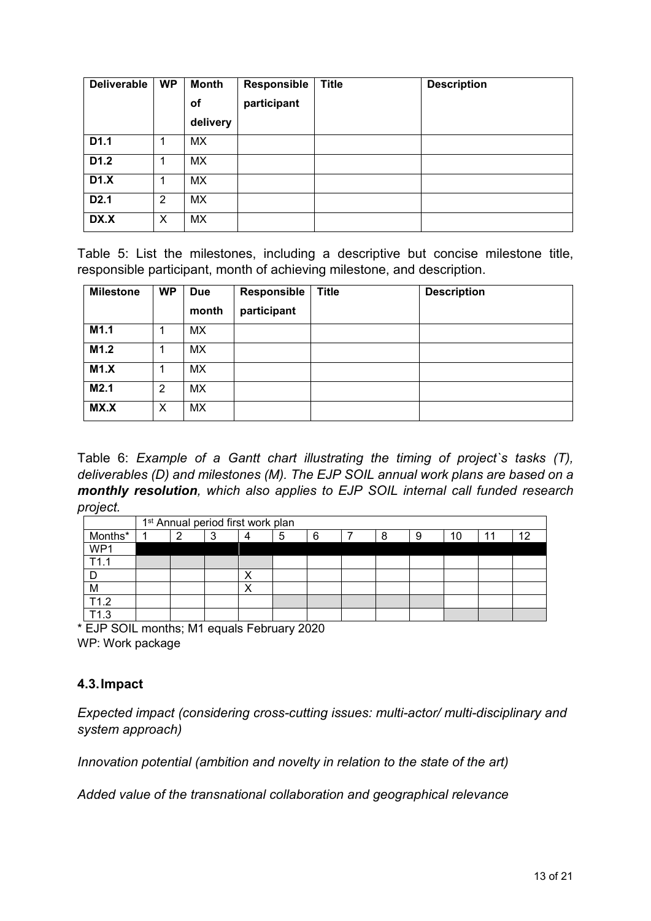| <b>Deliverable</b> | <b>WP</b> | <b>Month</b> | <b>Responsible</b> | <b>Title</b> | <b>Description</b> |
|--------------------|-----------|--------------|--------------------|--------------|--------------------|
|                    |           | Οf           | participant        |              |                    |
|                    |           | delivery     |                    |              |                    |
| D1.1               | 1         | МX           |                    |              |                    |
| D <sub>1.2</sub>   | 1         | MX.          |                    |              |                    |
| D1.X               |           | <b>MX</b>    |                    |              |                    |
| D <sub>2.1</sub>   | 2         | <b>MX</b>    |                    |              |                    |
| DX.X               | X         | <b>MX</b>    |                    |              |                    |

Table 5: List the milestones, including a descriptive but concise milestone title, responsible participant, month of achieving milestone, and description.

| <b>Milestone</b> | <b>WP</b> | <b>Due</b><br>month | Responsible<br>participant | <b>Title</b> | <b>Description</b> |
|------------------|-----------|---------------------|----------------------------|--------------|--------------------|
| M1.1             |           | MX.                 |                            |              |                    |
| M1.2             |           | <b>MX</b>           |                            |              |                    |
| M1.X             |           | МX                  |                            |              |                    |
| M2.1             | 2         | MX                  |                            |              |                    |
| MX.X             | X         | MX                  |                            |              |                    |

Table 6: *Example of a Gantt chart illustrating the timing of project`s tasks (T), deliverables (D) and milestones (M). The EJP SOIL annual work plans are based on a monthly resolution, which also applies to EJP SOIL internal call funded research project.*

|         | 1 <sup>st</sup> Annual period first work plan |   |   |  |   |   |  |   |   |    |    |    |
|---------|-----------------------------------------------|---|---|--|---|---|--|---|---|----|----|----|
| Months* |                                               | ⌒ | د |  | 5 | 6 |  | Я | 9 | 10 | 44 | 10 |
| WP1     |                                               |   |   |  |   |   |  |   |   |    |    |    |
| T11     |                                               |   |   |  |   |   |  |   |   |    |    |    |
|         |                                               |   |   |  |   |   |  |   |   |    |    |    |
| M       |                                               |   |   |  |   |   |  |   |   |    |    |    |
| T1.2    |                                               |   |   |  |   |   |  |   |   |    |    |    |
| ำว      |                                               |   |   |  |   |   |  |   |   |    |    |    |

\* EJP SOIL months; M1 equals February 2020 WP: Work package

## <span id="page-12-0"></span>**4.3.Impact**

*Expected impact (considering cross-cutting issues: multi-actor/ multi-disciplinary and system approach)*

*Innovation potential (ambition and novelty in relation to the state of the art)*

*Added value of the transnational collaboration and geographical relevance*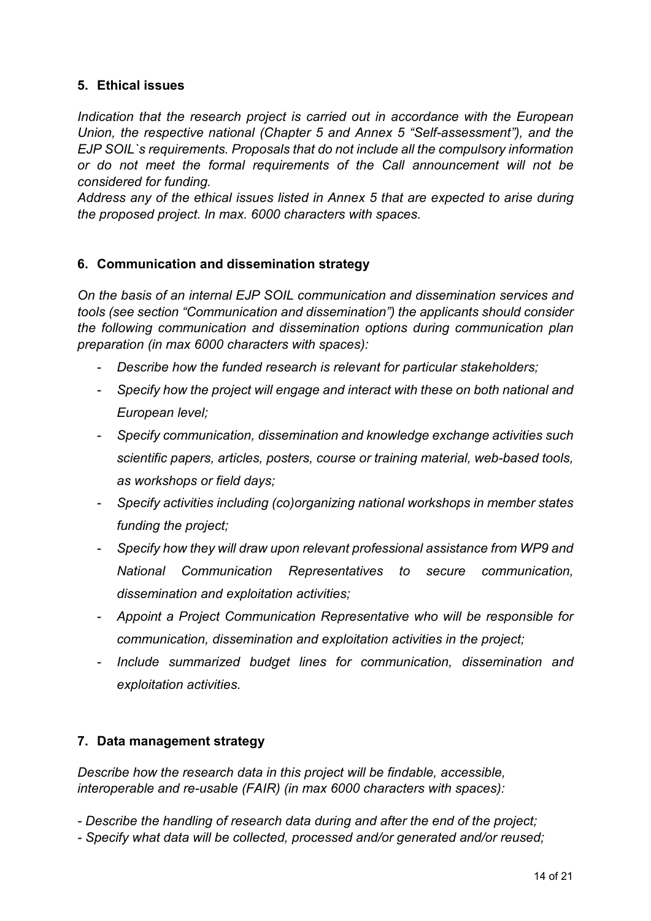## <span id="page-13-0"></span>**5. Ethical issues**

*Indication that the research project is carried out in accordance with the European Union, the respective national (Chapter 5 and Annex 5 "Self-assessment"), and the EJP SOIL`s requirements. Proposals that do not include all the compulsory information or do not meet the formal requirements of the Call announcement will not be considered for funding.*

*Address any of the ethical issues listed in Annex 5 that are expected to arise during the proposed project. In max. 6000 characters with spaces.*

#### <span id="page-13-1"></span>**6. Communication and dissemination strategy**

*On the basis of an internal EJP SOIL communication and dissemination services and tools (see section "Communication and dissemination") the applicants should consider the following communication and dissemination options during communication plan preparation (in max 6000 characters with spaces):*

- *Describe how the funded research is relevant for particular stakeholders;*
- *Specify how the project will engage and interact with these on both national and European level;*
- *Specify communication, dissemination and knowledge exchange activities such scientific papers, articles, posters, course or training material, web-based tools, as workshops or field days;*
- *Specify activities including (co)organizing national workshops in member states funding the project;*
- *Specify how they will draw upon relevant professional assistance from WP9 and National Communication Representatives to secure communication, dissemination and exploitation activities;*
- *Appoint a Project Communication Representative who will be responsible for communication, dissemination and exploitation activities in the project;*
- *Include summarized budget lines for communication, dissemination and exploitation activities.*

## <span id="page-13-2"></span>**7. Data management strategy**

*Describe how the research data in this project will be findable, accessible, interoperable and re-usable (FAIR) (in max 6000 characters with spaces):* 

- *- Describe the handling of research data during and after the end of the project;*
- *- Specify what data will be collected, processed and/or generated and/or reused;*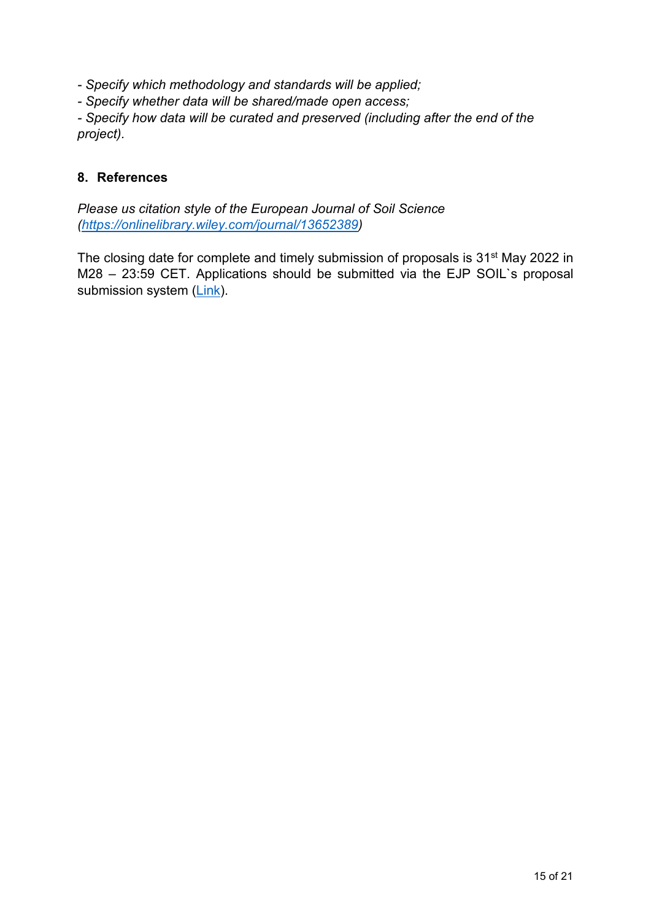*- Specify which methodology and standards will be applied;*

*- Specify whether data will be shared/made open access;*

*- Specify how data will be curated and preserved (including after the end of the project).*

#### <span id="page-14-0"></span>**8. References**

*Please us citation style of the European Journal of Soil Science [\(https://onlinelibrary.wiley.com/journal/13652389\)](https://onlinelibrary.wiley.com/journal/13652389)*

The closing date for complete and timely submission of proposals is 31<sup>st</sup> May 2022 in M28 – 23:59 CET. Applications should be submitted via the EJP SOIL`s proposal submission system [\(Link\)](https://www.lyyti.fi/reg/EJPSOIL_3rd_internal_call).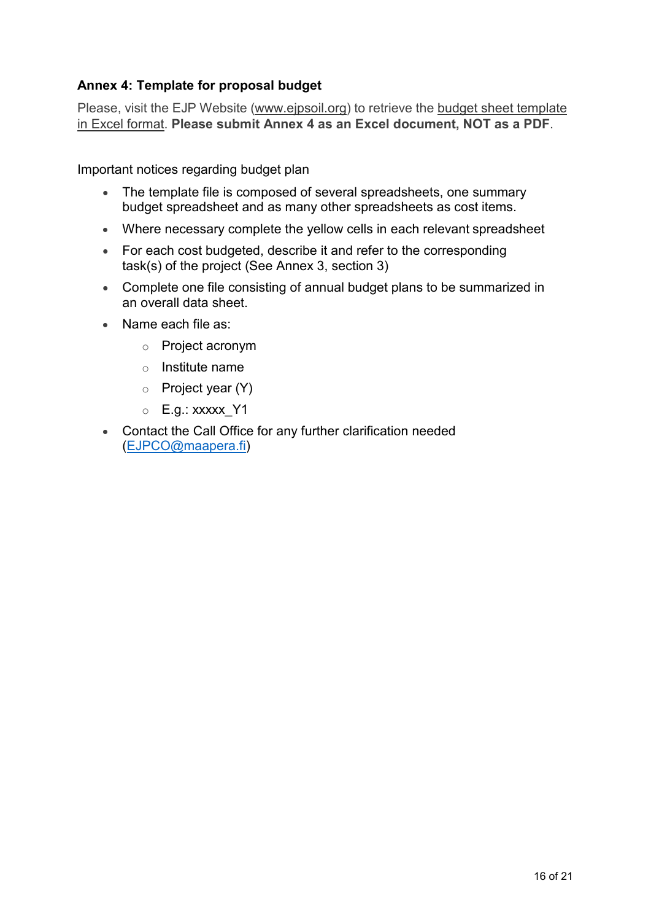## **Annex 4: Template for proposal budget**

Please, visit the EJP Website (www.ejpsoil.org) to retrieve the budget sheet template in Excel format. **Please submit Annex 4 as an Excel document, NOT as a PDF**.

Important notices regarding budget plan

- The template file is composed of several spreadsheets, one summary budget spreadsheet and as many other spreadsheets as cost items.
- Where necessary complete the yellow cells in each relevant spreadsheet
- For each cost budgeted, describe it and refer to the corresponding task(s) of the project (See Annex 3, section 3)
- Complete one file consisting of annual budget plans to be summarized in an overall data sheet.
- Name each file as:
	- o Project acronym
	- o Institute name
	- o Project year (Y)
	- $\circ$  E.g.: xxxxx Y1
- Contact the Call Office for any further clarification needed [\(EJPCO@maapera.fi\)](mailto:EJPCO@maapera.fi)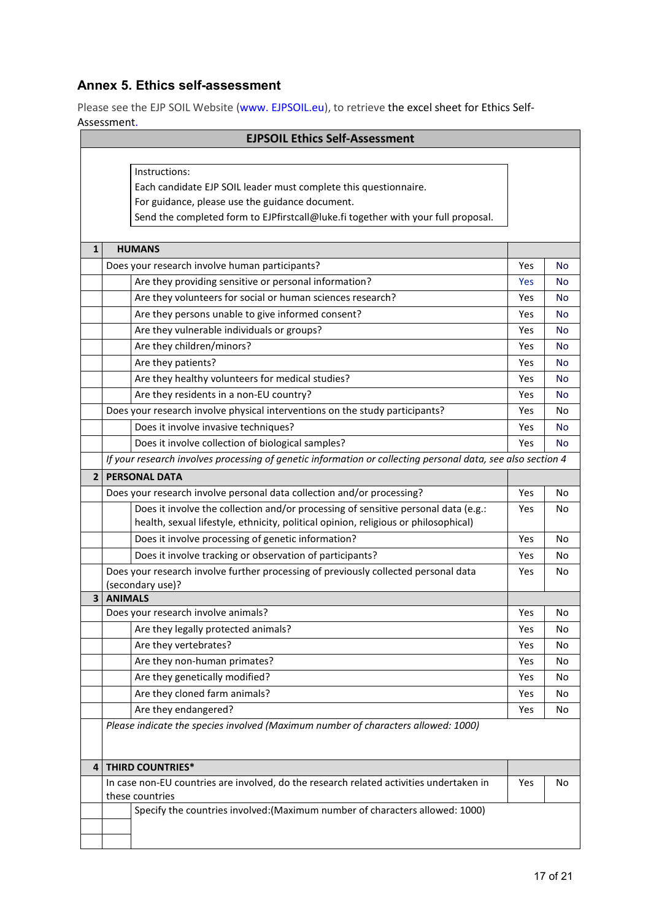## **Annex 5. Ethics self-assessment**

Please see the EJP SOIL Website (www. EJPSOIL.eu), to retrieve the excel sheet for Ethics Self-Assessment.

| ASSESSITIEITU.<br><b>EJPSOIL Ethics Self-Assessment</b> |                                                                                                             |     |           |  |  |
|---------------------------------------------------------|-------------------------------------------------------------------------------------------------------------|-----|-----------|--|--|
|                                                         |                                                                                                             |     |           |  |  |
|                                                         | Instructions:                                                                                               |     |           |  |  |
|                                                         | Each candidate EJP SOIL leader must complete this questionnaire.                                            |     |           |  |  |
|                                                         | For guidance, please use the guidance document.                                                             |     |           |  |  |
|                                                         | Send the completed form to EJPfirstcall@luke.fi together with your full proposal.                           |     |           |  |  |
|                                                         |                                                                                                             |     |           |  |  |
| $\mathbf{1}$                                            | <b>HUMANS</b>                                                                                               |     |           |  |  |
|                                                         | Does your research involve human participants?                                                              | Yes | No        |  |  |
|                                                         | Are they providing sensitive or personal information?                                                       | Yes | No        |  |  |
|                                                         | Are they volunteers for social or human sciences research?                                                  | Yes | No        |  |  |
|                                                         | Are they persons unable to give informed consent?                                                           | Yes | No        |  |  |
|                                                         | Are they vulnerable individuals or groups?                                                                  | Yes | No        |  |  |
|                                                         | Are they children/minors?                                                                                   | Yes | <b>No</b> |  |  |
|                                                         | Are they patients?                                                                                          | Yes | <b>No</b> |  |  |
|                                                         | Are they healthy volunteers for medical studies?                                                            | Yes | <b>No</b> |  |  |
|                                                         | Are they residents in a non-EU country?                                                                     | Yes | No        |  |  |
|                                                         | Does your research involve physical interventions on the study participants?                                | Yes | No        |  |  |
|                                                         | Does it involve invasive techniques?                                                                        | Yes | No        |  |  |
|                                                         | Does it involve collection of biological samples?                                                           | Yes | <b>No</b> |  |  |
|                                                         | If your research involves processing of genetic information or collecting personal data, see also section 4 |     |           |  |  |
| $\overline{2}$                                          | <b>PERSONAL DATA</b>                                                                                        |     |           |  |  |
|                                                         | Does your research involve personal data collection and/or processing?                                      | Yes | No        |  |  |
|                                                         | Does it involve the collection and/or processing of sensitive personal data (e.g.:                          | Yes | No        |  |  |
|                                                         | health, sexual lifestyle, ethnicity, political opinion, religious or philosophical)                         |     |           |  |  |
|                                                         | Does it involve processing of genetic information?                                                          | Yes | No        |  |  |
|                                                         | Does it involve tracking or observation of participants?                                                    | Yes | No        |  |  |
|                                                         | Does your research involve further processing of previously collected personal data                         | Yes | No        |  |  |
|                                                         | (secondary use)?                                                                                            |     |           |  |  |
| $\overline{\mathbf{3}}$                                 | <b>ANIMALS</b>                                                                                              |     |           |  |  |
|                                                         | Does your research involve animals?                                                                         | Yes | No        |  |  |
|                                                         | Are they legally protected animals?                                                                         | Yes | No        |  |  |
|                                                         | Are they vertebrates?                                                                                       | Yes | No        |  |  |
|                                                         | Are they non-human primates?                                                                                | Yes | No        |  |  |
|                                                         | Are they genetically modified?                                                                              | Yes | No        |  |  |
|                                                         | Are they cloned farm animals?                                                                               | Yes | No        |  |  |
|                                                         | Are they endangered?                                                                                        | Yes | No        |  |  |
|                                                         | Please indicate the species involved (Maximum number of characters allowed: 1000)                           |     |           |  |  |
|                                                         |                                                                                                             |     |           |  |  |
| 4                                                       | <b>THIRD COUNTRIES*</b>                                                                                     |     |           |  |  |
|                                                         | In case non-EU countries are involved, do the research related activities undertaken in                     | Yes | No        |  |  |
|                                                         | these countries                                                                                             |     |           |  |  |
|                                                         | Specify the countries involved: (Maximum number of characters allowed: 1000)                                |     |           |  |  |
|                                                         |                                                                                                             |     |           |  |  |
|                                                         |                                                                                                             |     |           |  |  |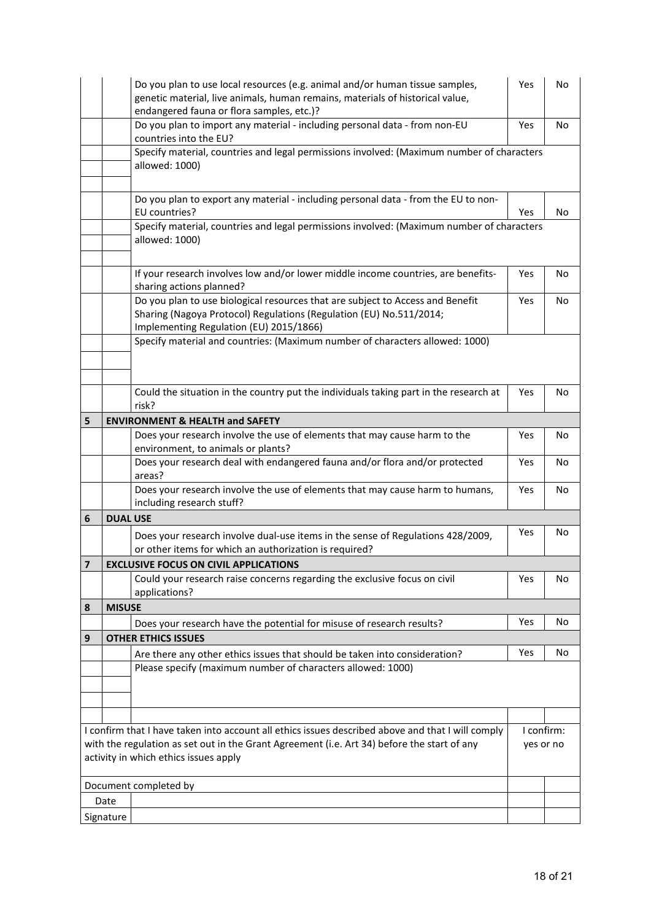|                                                                                                                                      | Do you plan to use local resources (e.g. animal and/or human tissue samples,<br>genetic material, live animals, human remains, materials of historical value,<br>endangered fauna or flora samples, etc.)? |                                                                                                                                                                                                  | Yes        | No        |  |
|--------------------------------------------------------------------------------------------------------------------------------------|------------------------------------------------------------------------------------------------------------------------------------------------------------------------------------------------------------|--------------------------------------------------------------------------------------------------------------------------------------------------------------------------------------------------|------------|-----------|--|
|                                                                                                                                      | Do you plan to import any material - including personal data - from non-EU<br>countries into the EU?                                                                                                       |                                                                                                                                                                                                  | Yes        | No        |  |
|                                                                                                                                      |                                                                                                                                                                                                            | Specify material, countries and legal permissions involved: (Maximum number of characters<br>allowed: 1000)                                                                                      |            |           |  |
|                                                                                                                                      |                                                                                                                                                                                                            | Do you plan to export any material - including personal data - from the EU to non-<br>EU countries?                                                                                              | Yes        | No        |  |
|                                                                                                                                      | Specify material, countries and legal permissions involved: (Maximum number of characters<br>allowed: 1000)                                                                                                |                                                                                                                                                                                                  |            |           |  |
|                                                                                                                                      |                                                                                                                                                                                                            | If your research involves low and/or lower middle income countries, are benefits-<br>sharing actions planned?                                                                                    | Yes        | No        |  |
|                                                                                                                                      |                                                                                                                                                                                                            | Do you plan to use biological resources that are subject to Access and Benefit<br>Sharing (Nagoya Protocol) Regulations (Regulation (EU) No.511/2014;<br>Implementing Regulation (EU) 2015/1866) | Yes        | No.       |  |
|                                                                                                                                      |                                                                                                                                                                                                            | Specify material and countries: (Maximum number of characters allowed: 1000)                                                                                                                     |            |           |  |
|                                                                                                                                      |                                                                                                                                                                                                            | Could the situation in the country put the individuals taking part in the research at<br>risk?                                                                                                   | Yes        | No        |  |
| 5                                                                                                                                    |                                                                                                                                                                                                            | <b>ENVIRONMENT &amp; HEALTH and SAFETY</b>                                                                                                                                                       |            |           |  |
|                                                                                                                                      |                                                                                                                                                                                                            | Does your research involve the use of elements that may cause harm to the<br>environment, to animals or plants?                                                                                  | Yes        | No        |  |
|                                                                                                                                      |                                                                                                                                                                                                            | Does your research deal with endangered fauna and/or flora and/or protected<br>areas?                                                                                                            | Yes        | No        |  |
|                                                                                                                                      |                                                                                                                                                                                                            | Does your research involve the use of elements that may cause harm to humans,<br>including research stuff?                                                                                       | Yes        | No        |  |
| 6                                                                                                                                    | <b>DUAL USE</b>                                                                                                                                                                                            |                                                                                                                                                                                                  |            |           |  |
|                                                                                                                                      |                                                                                                                                                                                                            | Does your research involve dual-use items in the sense of Regulations 428/2009,<br>or other items for which an authorization is required?                                                        | Yes        | No        |  |
| $\overline{7}$                                                                                                                       | <b>EXCLUSIVE FOCUS ON CIVIL APPLICATIONS</b>                                                                                                                                                               |                                                                                                                                                                                                  |            |           |  |
|                                                                                                                                      |                                                                                                                                                                                                            | Could your research raise concerns regarding the exclusive focus on civil<br>applications?                                                                                                       | Yes        | No        |  |
| 8                                                                                                                                    | <b>MISUSE</b>                                                                                                                                                                                              |                                                                                                                                                                                                  |            |           |  |
|                                                                                                                                      |                                                                                                                                                                                                            | Does your research have the potential for misuse of research results?                                                                                                                            | Yes        | No        |  |
| 9                                                                                                                                    |                                                                                                                                                                                                            | <b>OTHER ETHICS ISSUES</b>                                                                                                                                                                       |            |           |  |
|                                                                                                                                      |                                                                                                                                                                                                            | Are there any other ethics issues that should be taken into consideration?                                                                                                                       | Yes        | No        |  |
|                                                                                                                                      |                                                                                                                                                                                                            | Please specify (maximum number of characters allowed: 1000)                                                                                                                                      |            |           |  |
|                                                                                                                                      |                                                                                                                                                                                                            |                                                                                                                                                                                                  |            |           |  |
|                                                                                                                                      |                                                                                                                                                                                                            |                                                                                                                                                                                                  |            |           |  |
|                                                                                                                                      |                                                                                                                                                                                                            | I confirm that I have taken into account all ethics issues described above and that I will comply                                                                                                | I confirm: |           |  |
| with the regulation as set out in the Grant Agreement (i.e. Art 34) before the start of any<br>activity in which ethics issues apply |                                                                                                                                                                                                            |                                                                                                                                                                                                  |            | yes or no |  |
| Document completed by                                                                                                                |                                                                                                                                                                                                            |                                                                                                                                                                                                  |            |           |  |
| Date                                                                                                                                 |                                                                                                                                                                                                            |                                                                                                                                                                                                  |            |           |  |
| Signature                                                                                                                            |                                                                                                                                                                                                            |                                                                                                                                                                                                  |            |           |  |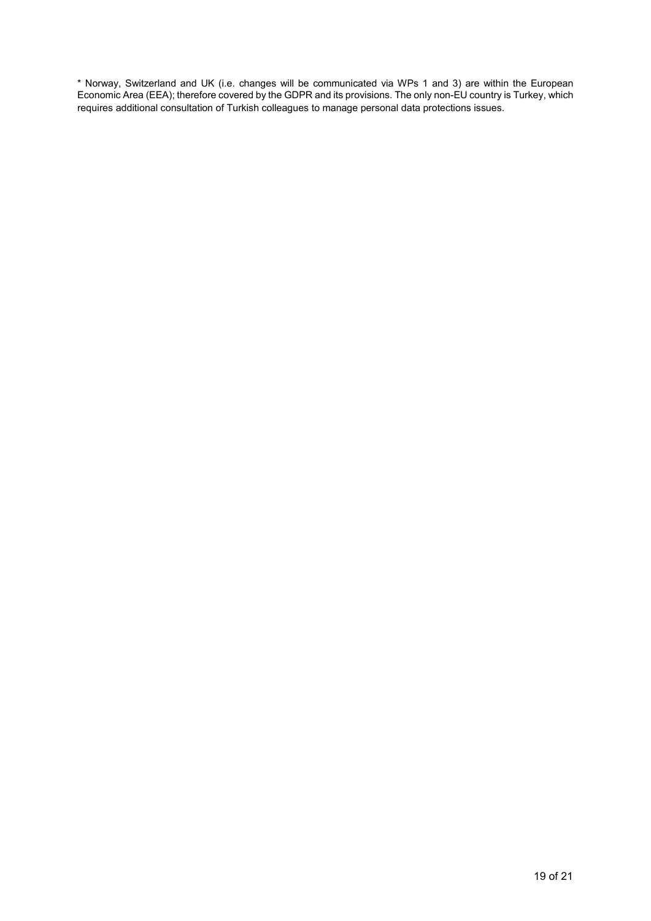\* Norway, Switzerland and UK (i.e. changes will be communicated via WPs 1 and 3) are within the European Economic Area (EEA); therefore covered by the GDPR and its provisions. The only non-EU country is Turkey, which requires additional consultation of Turkish colleagues to manage personal data protections issues.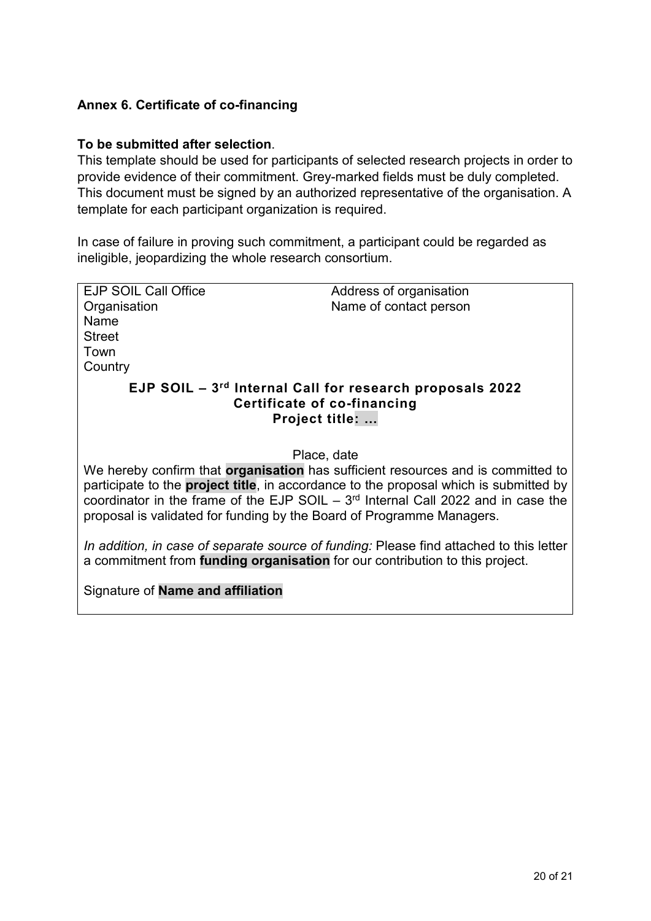## **Annex 6. Certificate of co-financing**

#### **To be submitted after selection**.

This template should be used for participants of selected research projects in order to provide evidence of their commitment. Grey-marked fields must be duly completed. This document must be signed by an authorized representative of the organisation. A template for each participant organization is required.

In case of failure in proving such commitment, a participant could be regarded as ineligible, jeopardizing the whole research consortium.

| <b>EJP SOIL Call Office</b>                                                                   | Address of organisation                                                                 |  |  |  |  |  |  |
|-----------------------------------------------------------------------------------------------|-----------------------------------------------------------------------------------------|--|--|--|--|--|--|
| Organisation                                                                                  | Name of contact person                                                                  |  |  |  |  |  |  |
| Name                                                                                          |                                                                                         |  |  |  |  |  |  |
| <b>Street</b>                                                                                 |                                                                                         |  |  |  |  |  |  |
| Town                                                                                          |                                                                                         |  |  |  |  |  |  |
|                                                                                               |                                                                                         |  |  |  |  |  |  |
| Country                                                                                       |                                                                                         |  |  |  |  |  |  |
| EJP SOIL $-3^{rd}$ Internal Call for research proposals 2022                                  |                                                                                         |  |  |  |  |  |  |
| Certificate of co-financing                                                                   |                                                                                         |  |  |  |  |  |  |
|                                                                                               | <b>Project title: </b>                                                                  |  |  |  |  |  |  |
|                                                                                               |                                                                                         |  |  |  |  |  |  |
|                                                                                               |                                                                                         |  |  |  |  |  |  |
| Place, date                                                                                   |                                                                                         |  |  |  |  |  |  |
|                                                                                               | We hereby confirm that <b>organisation</b> has sufficient resources and is committed to |  |  |  |  |  |  |
|                                                                                               |                                                                                         |  |  |  |  |  |  |
| participate to the <b>project title</b> , in accordance to the proposal which is submitted by |                                                                                         |  |  |  |  |  |  |
| coordinator in the frame of the EJP SOIL $-3rd$ Internal Call 2022 and in case the            |                                                                                         |  |  |  |  |  |  |
| proposal is validated for funding by the Board of Programme Managers.                         |                                                                                         |  |  |  |  |  |  |
|                                                                                               |                                                                                         |  |  |  |  |  |  |
| In addition, in case of separate source of funding: Please find attached to this letter       |                                                                                         |  |  |  |  |  |  |
| a commitment from <b>funding organisation</b> for our contribution to this project.           |                                                                                         |  |  |  |  |  |  |
|                                                                                               |                                                                                         |  |  |  |  |  |  |
| Signature of <b>Name and affiliation</b>                                                      |                                                                                         |  |  |  |  |  |  |
|                                                                                               |                                                                                         |  |  |  |  |  |  |